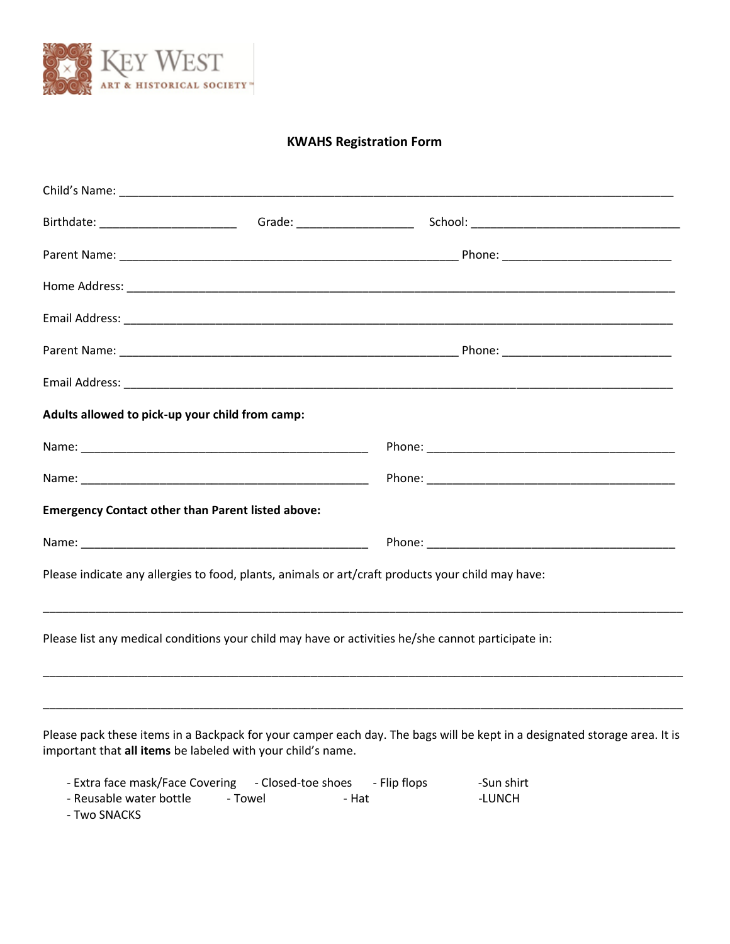

## **KWAHS Registration Form**

| Adults allowed to pick-up your child from camp:          |                                                                                                    |
|----------------------------------------------------------|----------------------------------------------------------------------------------------------------|
|                                                          |                                                                                                    |
|                                                          |                                                                                                    |
| <b>Emergency Contact other than Parent listed above:</b> |                                                                                                    |
|                                                          |                                                                                                    |
|                                                          | Please indicate any allergies to food, plants, animals or art/craft products your child may have:  |
|                                                          | Please list any medical conditions your child may have or activities he/she cannot participate in: |
|                                                          |                                                                                                    |

Please pack these items in a Backpack for your camper each day. The bags will be kept in a designated storage area. It is important that **all items** be labeled with your child's name.

| - Extra face mask/Face Covering - Closed-toe shoes |         | - Flip flops | -Sun shirt |
|----------------------------------------------------|---------|--------------|------------|
| - Reusable water bottle                            | - Towel | - Hat        | -LUNCH     |
| - Two SNACKS                                       |         |              |            |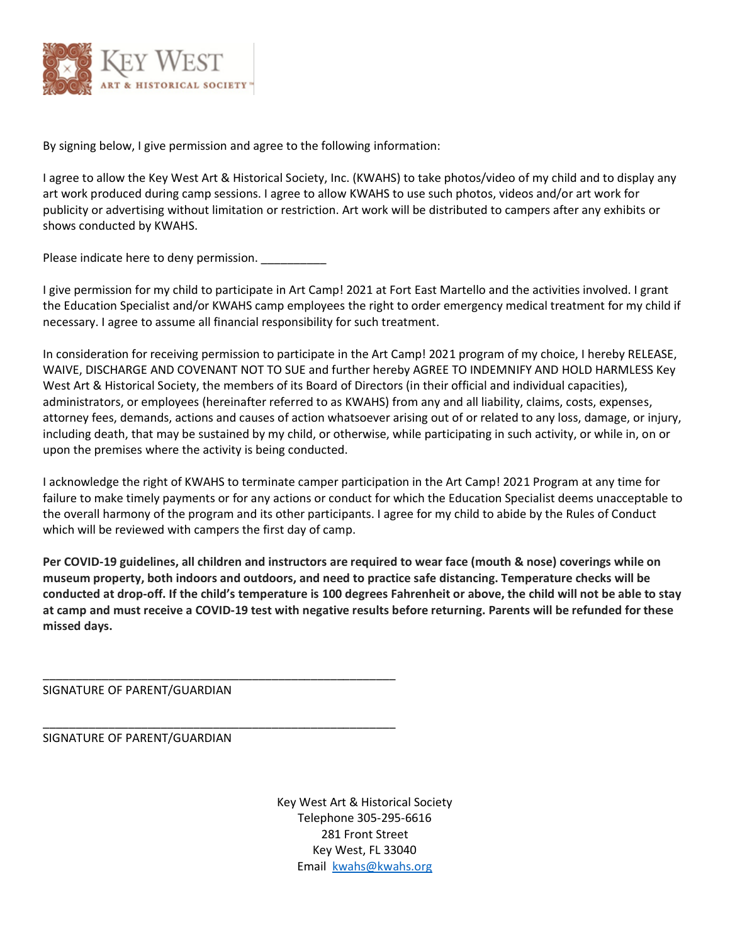

By signing below, I give permission and agree to the following information:

I agree to allow the Key West Art & Historical Society, Inc. (KWAHS) to take photos/video of my child and to display any art work produced during camp sessions. I agree to allow KWAHS to use such photos, videos and/or art work for publicity or advertising without limitation or restriction. Art work will be distributed to campers after any exhibits or shows conducted by KWAHS.

Please indicate here to deny permission.

I give permission for my child to participate in Art Camp! 2021 at Fort East Martello and the activities involved. I grant the Education Specialist and/or KWAHS camp employees the right to order emergency medical treatment for my child if necessary. I agree to assume all financial responsibility for such treatment.

In consideration for receiving permission to participate in the Art Camp! 2021 program of my choice, I hereby RELEASE, WAIVE, DISCHARGE AND COVENANT NOT TO SUE and further hereby AGREE TO INDEMNIFY AND HOLD HARMLESS Key West Art & Historical Society, the members of its Board of Directors (in their official and individual capacities), administrators, or employees (hereinafter referred to as KWAHS) from any and all liability, claims, costs, expenses, attorney fees, demands, actions and causes of action whatsoever arising out of or related to any loss, damage, or injury, including death, that may be sustained by my child, or otherwise, while participating in such activity, or while in, on or upon the premises where the activity is being conducted.

I acknowledge the right of KWAHS to terminate camper participation in the Art Camp! 2021 Program at any time for failure to make timely payments or for any actions or conduct for which the Education Specialist deems unacceptable to the overall harmony of the program and its other participants. I agree for my child to abide by the Rules of Conduct which will be reviewed with campers the first day of camp.

**Per COVID-19 guidelines, all children and instructors are required to wear face (mouth & nose) coverings while on museum property, both indoors and outdoors, and need to practice safe distancing. Temperature checks will be conducted at drop-off. If the child's temperature is 100 degrees Fahrenheit or above, the child will not be able to stay at camp and must receive a COVID-19 test with negative results before returning. Parents will be refunded for these missed days.** 

SIGNATURE OF PARENT/GUARDIAN

\_\_\_\_\_\_\_\_\_\_\_\_\_\_\_\_\_\_\_\_\_\_\_\_\_\_\_\_\_\_\_\_\_\_\_\_\_\_\_\_\_\_\_\_\_\_\_\_\_\_\_\_\_\_

\_\_\_\_\_\_\_\_\_\_\_\_\_\_\_\_\_\_\_\_\_\_\_\_\_\_\_\_\_\_\_\_\_\_\_\_\_\_\_\_\_\_\_\_\_\_\_\_\_\_\_\_\_\_

## SIGNATURE OF PARENT/GUARDIAN

Key West Art & Historical Society Telephone 305-295-6616 281 Front Street Key West, FL 33040 Email [kwahs@kwahs.org](mailto:kwahs@kwahs.org)